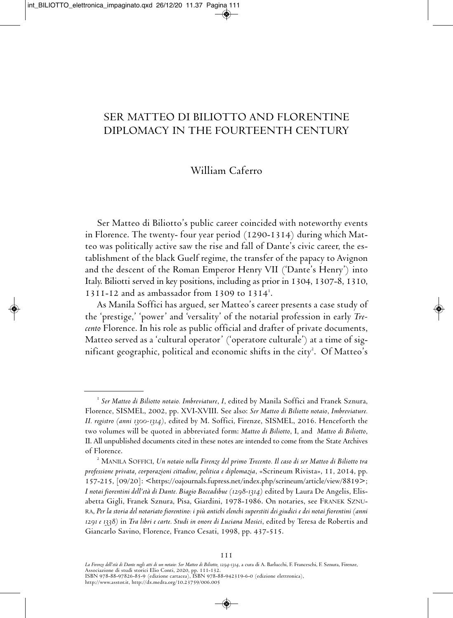# ser matteo di Biliotto and florentine diPlomacy in tHe fourteentH century

## William caferro

ser matteo di Biliotto's public career coincided with noteworthy events in Florence. The twenty- four year period (1290-1314) during which Matteo was politically active saw the rise and fall of Dante's civic career, the establishment of the black Guelf regime, the transfer of the papacy to Avignon and the descent of the Roman Emperor Henry VII ('Dante's Henry') into Italy. Biliotti served in key positions, including as prior in 1304, 1307-8, 1310, 1311-12 and as ambassador from 1309 to  $1314<sup>1</sup>$ .

As Manila Soffici has argued, ser Matteo's career presents a case study of the 'prestige,' 'power' and 'versality' of the notarial profession in early *Trecento* florence. in his role as public official and drafter of private documents, matteo served as a 'cultural operator' ('operatore culturale') at a time of significant geographic, political and economic shifts in the city $^{\text{2}}$ . Of Matteo's

<sup>&</sup>lt;sup>1</sup> Ser Matteo di Biliotto notaio. Imbreviature, I, edited by Manila Soffici and Franek Sznura, florence, sismel, 2002, pp. XVi-XViii. see also: *Ser Matteo di Biliotto notaio*, *Imbreviature. II. registro (anni 1300-1314)*, edited by m. soffici, firenze, sismel, 2016. Henceforth the two volumes will be quoted in abbreviated form: *Matteo di Biliotto*, i, and *Matteo di Biliotto*, II. All unpublished documents cited in these notes are intended to come from the State Archives of florence.

<sup>2</sup> manila soffici, *Un notaio nella Firenze del primo Trecento. Il caso di ser Matteo di Biliotto tra professione privata, corporazioni cittadine, politica e diplomazia*, «scrineum rivista», 11, 2014, pp. 157-215, [09/20]: <https://oajournals.fupress.net/index.php/scrineum/article/view/8819>; *I notai fiorentini dell'età di Dante. Biagio Boccadibue (1298-1314)* edited by laura de angelis, elisabetta Gigli, franek sznura, Pisa, Giardini, 1978-1986. on notaries, see franek sZnura, *Per lastoriadel notariato fiorentino: ipiù antichi elenchi superstitidei giudici edei notai fiorentini (anni 1291 e 1338)* in *Tra libri e carte. Studi in onore di Luciana Mosici*, edited by teresa de robertis and Giancarlo savino, florence, franco cesati, 1998, pp. 437-515.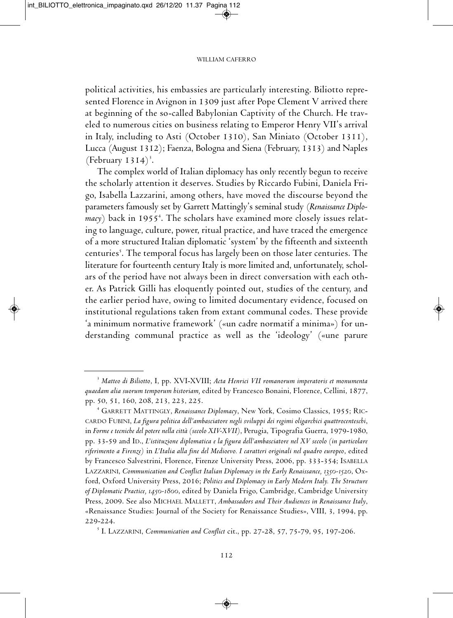political activities, his embassies are particularly interesting. Biliotto represented Florence in Avignon in 1309 just after Pope Clement V arrived there at beginning of the so-called Babylonian captivity of the church. He traveled to numerous cities on business relating to Emperor Henry VII's arrival in Italy, including to Asti (October 1310), San Miniato (October 1311), Lucca (August 1312); Faenza, Bologna and Siena (February, 1313) and Naples (February  $1314$ )<sup>3</sup>.

The complex world of Italian diplomacy has only recently begun to receive the scholarly attention it deserves. Studies by Riccardo Fubini, Daniela Frigo, isabella lazzarini, among others, have moved the discourse beyond the parameters famously set by Garrett mattingly's seminal study (*Renaissance Diplo*macy) back in 1955<sup>4</sup>. The scholars have examined more closely issues relating to language, culture, power, ritual practice, and have traced the emergence of a more structured Italian diplomatic 'system' by the fifteenth and sixteenth centuries<sup>s</sup>. The temporal focus has largely been on those later centuries. The literature for fourteenth century Italy is more limited and, unfortunately, scholars of the period have not always been in direct conversation with each other. As Patrick Gilli has eloquently pointed out, studies of the century, and the earlier period have, owing to limited documentary evidence, focused on institutional regulations taken from extant communal codes. These provide 'a minimum normative framework' («un cadre normatif a minima») for understanding communal practice as well as the 'ideology' («une parure

<sup>3</sup> *Matteo di Biliotto*, i, pp. XVi-XViii; *Acta Henrici VII romanorum imperatoris et monumenta quaedam alia suorum temporum historiam,* edited by francesco Bonaini, florence, cellini, 1877, pp. 50, 51, 160, 208, 213, 223, 225.

<sup>&</sup>lt;sup>4</sup> GARRETT MATTINGLY, *Renaissance Diplomacy*, New York, Cosimo Classics, 1955; RICcardo fuBini, *La figura politica dell'ambasciatore negli sviluppi dei regimi oligarchici quattrocenteschi*, in *Forme e tecnichedel potere nellacittà(secolo XIV-XVII)*, Perugia, tipografia Guerra, 1979-1980, pp. 33-59 and id., *L'istituzione diplomatica e la figura dell'ambasciatore nel XV secolo (in particolare riferimento a Firenze)* in *L'Italia alla fine del Medioevo. I caratteri originali nel quadro europeo*, edited by Francesco Salvestrini, Florence, Firenze University Press, 2006, pp. 333-354; ISABELLA laZZarini, *Communication and Conflict Italian Diplomacy in the Early Renaissance, 1350-1520*, oxford, oxford university Press, 2016; *Politics and Diplomacy in Early Modern Italy. The Structure* of Diplomatic Practice, 1450-1800, edited by Daniela Frigo, Cambridge, Cambridge University Press, 2009. see also micHael mallett, *Ambassadors and Their Audiences in Renaissance Italy*, «Renaissance Studies: Journal of the Society for Renaissance Studies», VIII, 3, 1994, pp. 229-224.

<sup>5</sup> i. laZZarini, *Communication and Conflict* cit., pp. 27-28, 57, 75-79, 95, 197-206.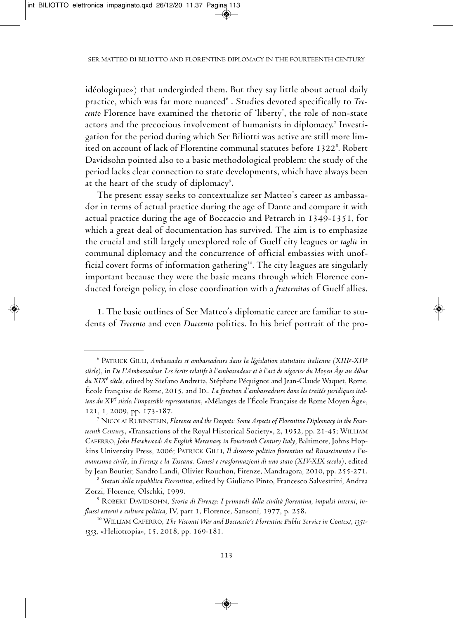idéologique») that undergirded them. But they say little about actual daily practice, which was far more nuanced<sup>6</sup>. Studies devoted specifically to *Trecento* florence have examined the rhetoric of 'liberty', the role of non-state actors and the precocious involvement of humanists in diplomacy. <sup>7</sup> investigation for the period during which ser Biliotti was active are still more limited on account of lack of Florentine communal statutes before 1322 $^{\rm 8}$ . Robert Davidsohn pointed also to a basic methodological problem: the study of the period lacks clear connection to state developments, which have always been at the heart of the study of diplomacy $^{\circ}.$ 

The present essay seeks to contextualize ser Matteo's career as ambassador in terms of actual practice during the age of Dante and compare it with actual practice during the age of Boccaccio and Petrarch in 1349-1351, for which a great deal of documentation has survived. The aim is to emphasize the crucial and still largely unexplored role of Guelf city leagues or *taglie* in communal diplomacy and the concurrence of official embassies with unofficial covert forms of information gathering $^{\scriptscriptstyle{10}}$ . The city leagues are singularly important because they were the basic means through which florence conducted foreign policy, in close coordination with a *fraternitas* of Guelf allies.

1. The basic outlines of Ser Matteo's diplomatic career are familiar to students of *Trecento* and even *Duecento* politics. in his brief portrait of the pro-

<sup>6</sup> Patrick Gilli, *Ambassades et ambassadeurs dans la législation statutaire italienne (XIIIe-XIVe siècle)*, in *De L'Ambassadeur. Les écrits relatifsàl'ambassadeur etàl'artde négocierdu Moyen Âgeau début du XIXe siècle*, edited by stefano andretta, stéphane Péquignot and Jean-claude Waquet, rome, École française de Rome, 2015, and ID., *La fonction d'ambassadeurs dans les traités juridiques italiensdu XVe siècle: l'impossible representation*, «mélanges de l'École française de rome moyen Âge», 121, 1, 2009, pp. 173-187.

<sup>&</sup>lt;sup>7</sup> NICOLAI RUBINSTEIN, *Florence and the Despots: Some Aspects of Florentine Diplomacy in the Fourteenth Century*, «Transactions of the Royal Historical Society», 2, 1952, pp. 21-45; WILLIAM caferro, *John Hawkwood: An English Mercenary in Fourteenth Century Italy*, Baltimore, Johns Hopkins university Press, 2006; Patrick Gilli, *Il discorso politico fiorentino nel Rinascimento e l'umanesimo civile*, in *Firenze e la Toscana. Genesi e trasformazioni di uno stato (XIV-XIX secolo)*, edited by Jean Boutier, Sandro Landi, Olivier Rouchon, Firenze, Mandragora, 2010, pp. 255-271.

<sup>8</sup> *Statuti della repubblica Fiorentina*, edited by Giuliano Pinto, francesco salvestrini, andrea Zorzi, florence, olschki, 1999.

<sup>&</sup>lt;sup>9</sup> ROBERT DAVIDSOHN, Storia di Firenze: I primordi della civiltà fiorentina, impulsi interni, in*flussi esterni e cultura politica,* iV, part 1, florence, sansoni, 1977, p. 258.

<sup>10</sup> William caferro, *The Visconti War and Boccaccio's Florentine Public Service in Context, 1351- 1353*, «Heliotropia», 15, 2018, pp. 169-181.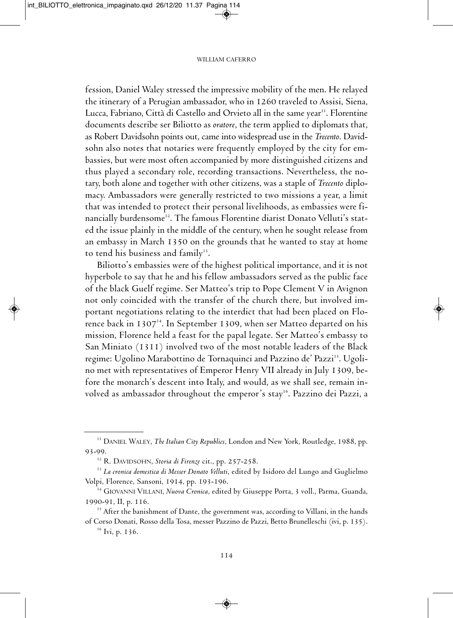fession, Daniel Waley stressed the impressive mobility of the men. He relayed the itinerary of a Perugian ambassador, who in 1260 traveled to Assisi, Siena, Lucca, Fabriano, Città di Castello and Orvieto all in the same year''. Florentine documents describe ser Biliotto as *oratore*, the term applied to diplomats that, as Robert Davidsohn points out, came into widespread use in the *Trecento*. Davidsohn also notes that notaries were frequently employed by the city for embassies, but were most often accompanied by more distinguished citizens and thus played a secondary role, recording transactions. Nevertheless, the notary, both alone and together with other citizens, was a staple of *Trecento* diplomacy. Ambassadors were generally restricted to two missions a year, a limit that was intended to protect their personal livelihoods, as embassies were financially burdensome<sup>12</sup>. The famous Florentine diarist Donato Velluti's stated the issue plainly in the middle of the century, when he sought release from an embassy in march 1350 on the grounds that he wanted to stay at home to tend his business and family $^{\text{\tiny{13}}}$ .

Biliotto's embassies were of the highest political importance, and it is not hyperbole to say that he and his fellow ambassadors served as the public face of the black Guelf regime. Ser Matteo's trip to Pope Clement V in Avignon not only coincided with the transfer of the church there, but involved important negotiations relating to the interdict that had been placed on florence back in 1307 $^{\rm 14}$ . In September 1309, when ser Matteo departed on his mission, Florence held a feast for the papal legate. Ser Matteo's embassy to San Miniato (1311) involved two of the most notable leaders of the Black regime: Ugolino Marabottino de Tornaquinci and Pazzino de' Pazzi<sup>15</sup>. Ugolino met with representatives of Emperor Henry VII already in July 1309, before the monarch's descent into Italy, and would, as we shall see, remain involved as ambassador throughout the emperor's stay<sup>16</sup>. Pazzino dei Pazzi, a

<sup>&</sup>lt;sup>11</sup> DANIEL WALEY, *The Italian City Republics*, London and New York, Routledge, 1988, pp. 93-99.

<sup>&</sup>lt;sup>12</sup> R. DAVIDSOHN, *Storia di Firenze* cit., pp. 257-258.

<sup>13</sup> *La cronica domestica di Messer Donato Velluti*, edited by isidoro del lungo and Guglielmo Volpi, florence, sansoni, 1914, pp. 193-196.

<sup>&</sup>lt;sup>14</sup> GIOVANNI VILLANI, *Nuova Cronica*, edited by Giuseppe Porta, 3 voll., Parma, Guanda, 1990-91, II, p. 116.

 $15$  After the banishment of Dante, the government was, according to Villani, in the hands of corso donati, rosso della tosa, messer Pazzino de Pazzi, Betto Brunelleschi (ivi, p. 135).

 $16$  Ivi, p. 136.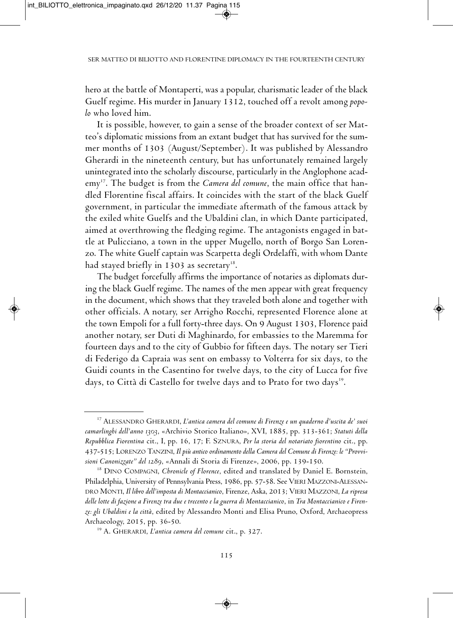hero at the battle of Montaperti, was a popular, charismatic leader of the black Guelf regime. His murder in January 1312, touched off a revolt among *popolo* who loved him.

It is possible, however, to gain a sense of the broader context of ser Matteo's diplomatic missions from an extant budget that has survived for the summer months of 1303 (August/September). It was published by Alessandro Gherardi in the nineteenth century, but has unfortunately remained largely unintegrated into the scholarly discourse, particularly in the Anglophone academy<sup>17</sup>. The budget is from the *Camera del comune*, the main office that handled florentine fiscal affairs. it coincides with the start of the black Guelf government, in particular the immediate aftermath of the famous attack by the exiled white Guelfs and the Ubaldini clan, in which Dante participated, aimed at overthrowing the fledging regime. The antagonists engaged in battle at Pulicciano, a town in the upper mugello, north of Borgo san lorenzo. The white Guelf captain was Scarpetta degli Ordelaffi, with whom Dante had stayed briefly in 1303 as secretary $^{\scriptscriptstyle 18}.$ 

The budget forcefully affirms the importance of notaries as diplomats during the black Guelf regime. The names of the men appear with great frequency in the document, which shows that they traveled both alone and together with other officials. A notary, ser Arrigho Rocchi, represented Florence alone at the town Empoli for a full forty-three days. On 9 August 1303, Florence paid another notary, ser Duti di Maghinardo, for embassies to the Maremma for fourteen days and to the city of Gubbio for fifteen days. The notary ser Tieri di federigo da capraia was sent on embassy to Volterra for six days, to the Guidi counts in the casentino for twelve days, to the city of lucca for five days, to città di castello for twelve days and to Prato for two days 19 .

<sup>17</sup> alessandro GHerardi, *L'antica camera del comune di Firenze e un quaderno d'uscita de' suoi camarlinghi dell'anno 1303*, «archivio storico italiano», XVi, 1885, pp. 313-361; *Statuti della Repubblica Fiorentina* cit., i, pp. 16, 17; f. sZnura, *Per la storia del notariato fiorentino* cit., pp. 437-515; lorenZo tanZini, *Ilpiù antico ordinamentodella Cameradel Comunedi Firenze: le "Provvisioni Canonizzate" del 1289*, «annali di storia di firenze», 2006, pp. 139-150.

<sup>&</sup>lt;sup>18</sup> DINO COMPAGNI, *Chronicle of Florence*, edited and translated by Daniel E. Bornstein, Philadelphia, University of Pennsylvania Press, 1986, pp. 57-58. See VIERI MAZZONI-ALESSAN-DRO MONTI, *Il libro dell'imposta di Montaccianico*, Firenze, Aska, 2013; VIERI MAZZONI, *La ripresa* delle lotte di fazione a Firenze tra due e trecento e la guerra di Montaccianico, in Tra Montaccianico e Firen*ze: gli Ubaldini e la città*, edited by alessandro monti and elisa Pruno, oxford, archaeopress archaeology, 2015, pp. 36-50.

<sup>19</sup> a. GHerardi, *L'antica camera del comune* cit., p. 327.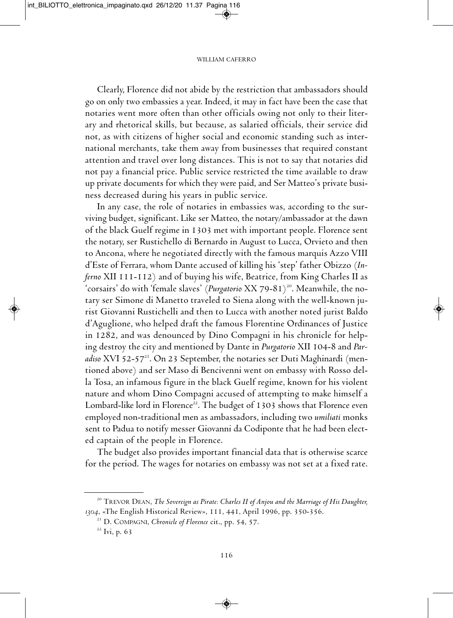clearly, florence did not abide by the restriction that ambassadors should go on only two embassies a year. indeed, it may in fact have been the case that notaries went more often than other officials owing not only to their literary and rhetorical skills, but because, as salaried officials, their service did not, as with citizens of higher social and economic standing such as international merchants, take them away from businesses that required constant attention and travel over long distances. This is not to say that notaries did not pay a financial price. Public service restricted the time available to draw up private documents for which they were paid, and Ser Matteo's private business decreased during his years in public service.

In any case, the role of notaries in embassies was, according to the surviving budget, significant. Like ser Matteo, the notary/ambassador at the dawn of the black Guelf regime in 1303 met with important people. florence sent the notary, ser Rustichello di Bernardo in August to Lucca, Orvieto and then to Ancona, where he negotiated directly with the famous marquis Azzo VIII d'Este of Ferrara, whom Dante accused of killing his 'step' father Obizzo (In*ferno* XII 111-112) and of buying his wife, Beatrice, from King Charles II as 'corsairs' do with 'female slaves' *(Purgatorio XX 79-81)<sup>20</sup>. Meanwhile, the no*tary ser Simone di Manetto traveled to Siena along with the well-known jurist Giovanni Rustichelli and then to Lucca with another noted jurist Baldo d'Aguglione, who helped draft the famous Florentine Ordinances of Justice in 1282, and was denounced by Dino Compagni in his chronicle for helping destroy the city and mentioned by Dante in *Purgatorio* XII 104-8 and *Par*adiso XVI 52-57<sup>21</sup>. On 23 September, the notaries ser Duti Maghinardi (mentioned above) and ser Maso di Bencivenni went on embassy with Rosso della Tosa, an infamous figure in the black Guelf regime, known for his violent nature and whom Dino Compagni accused of attempting to make himself a Lombard-like lord in Florence<sup>22</sup>. The budget of 1303 shows that Florence even employed non-traditional men as ambassadors, including two *umiliati* monks sent to Padua to notify messer Giovanni da codiponte that he had been elected captain of the people in florence.

The budget also provides important financial data that is otherwise scarce for the period. The wages for notaries on embassy was not set at a fixed rate.

<sup>20</sup> treVor dean, *The Sovereign as Pirate: Charles II of Anjou and the Marriage of His Daughter,* 1304, «The English Historical Review», 111, 441, April 1996, pp. 350-356.

<sup>&</sup>lt;sup>21</sup> D. COMPAGNI, *Chronicle of Florence* cit., pp. 54, 57.

 $22$  Ivi, p. 63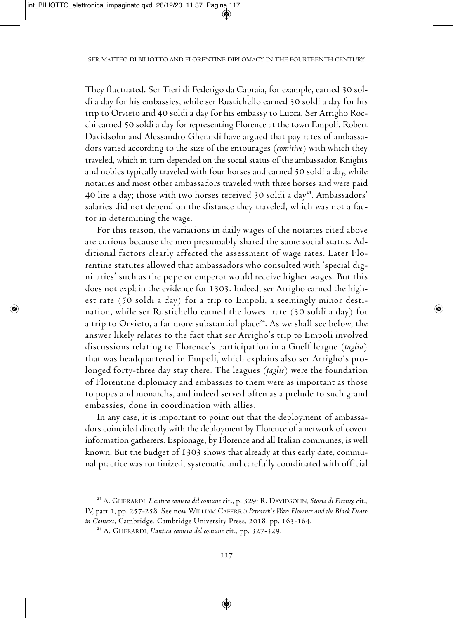They fluctuated. Ser Tieri di Federigo da Capraia, for example, earned 30 soldi a day for his embassies, while ser Rustichello earned 30 soldi a day for his trip to Orvieto and 40 soldi a day for his embassy to Lucca. Ser Arrigho Rocchi earned 50 soldi a day for representing Florence at the town Empoli. Robert Davidsohn and Alessandro Gherardi have argued that pay rates of ambassadors varied according to the size of the entourages (*comitive*) with which they traveled, which in turn depended on the social status of the ambassador. Knights and nobles typically traveled with four horses and earned 50 soldi a day, while notaries and most other ambassadors traveled with three horses and were paid 40 lire a day; those with two horses received 30 soldi a day $^{23}$ . Ambassadors $^{\prime}$ salaries did not depend on the distance they traveled, which was not a factor in determining the wage.

for this reason, the variations in daily wages of the notaries cited above are curious because the men presumably shared the same social status. Additional factors clearly affected the assessment of wage rates. later florentine statutes allowed that ambassadors who consulted with 'special dignitaries' such as the pope or emperor would receive higher wages. But this does not explain the evidence for 1303. Indeed, ser Arrigho earned the highest rate  $(50 \text{ solid } a \text{ day})$  for a trip to Empoli, a seemingly minor destination, while ser Rustichello earned the lowest rate (30 soldi a day) for a trip to Orvieto, a far more substantial place $^{24}\!$ . As we shall see below, the answer likely relates to the fact that ser Arrigho's trip to Empoli involved discussions relating to florence's participation in a Guelf league (*taglia*) that was headquartered in Empoli, which explains also ser Arrigho's prolonged forty-three day stay there. The leagues (*taglie*) were the foundation of florentine diplomacy and embassies to them were as important as those to popes and monarchs, and indeed served often as a prelude to such grand embassies, done in coordination with allies.

In any case, it is important to point out that the deployment of ambassadors coincided directly with the deployment by Florence of a network of covert information gatherers. Espionage, by Florence and all Italian communes, is well known. But the budget of 1303 shows that already at this early date, communal practice was routinized, systematic and carefully coordinated with official

<sup>&</sup>lt;sup>23</sup> A. GHERARDI, *L'antica camera del comune* cit., p. 329; R. DAVIDSOHN, *Storia di Firenze* cit., iV, part 1, pp. 257-258. see now William caferro *Petrarch's War: Florence and the Black Death in Context*, Cambridge, Cambridge University Press, 2018, pp. 163-164.

<sup>&</sup>lt;sup>24</sup> A. GHERARDI, *L'antica camera del comune* cit., pp. 327-329.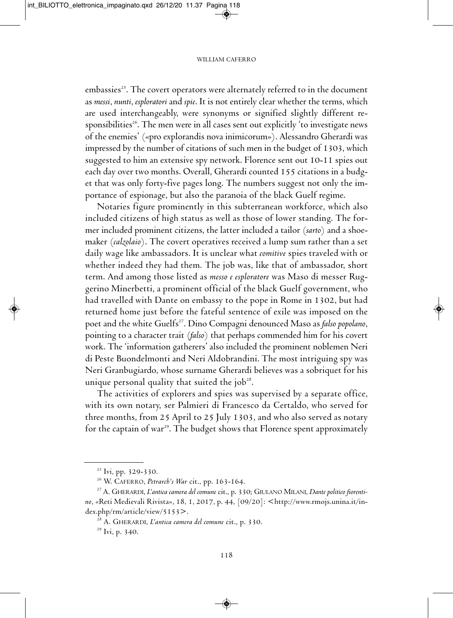embassies<sup>25</sup>. The covert operators were alternately referred to in the document as *messi*, *nunti*, *esploratori* and *spie*. It is not entirely clear whether the terms, which are used interchangeably, were synonyms or signified slightly different responsibilities<sup>26</sup>. The men were in all cases sent out explicitly 'to investigate news of the enemies' («pro explorandis nova inimicorum»). Alessandro Gherardi was impressed by the number of citations of such men in the budget of 1303, which suggested to him an extensive spy network. florence sent out 10-11 spies out each day over two months. Overall, Gherardi counted 155 citations in a budget that was only forty-five pages long. The numbers suggest not only the importance of espionage, but also the paranoia of the black Guelf regime.

Notaries figure prominently in this subterranean workforce, which also included citizens of high status as well as those of lower standing. The former included prominent citizens, the latter included a tailor (*sarto*) and a shoemaker (*calzolaio*). the covert operatives received a lump sum rather than a set daily wage like ambassadors. it is unclear what *comitive* spies traveled with or whether indeed they had them. The job was, like that of ambassador, short term. And among those listed as *messo e esploratore* was Maso di messer Ruggerino Minerbetti, a prominent official of the black Guelf government, who had travelled with Dante on embassy to the pope in Rome in 1302, but had returned home just before the fateful sentence of exile was imposed on the poet and the white Guelfs<sup>27</sup>. Dino Compagni denounced Maso as *falso popolano*, pointing to a character trait (*falso*) that perhaps commended him for his covert work. The 'information gatherers' also included the prominent noblemen Neri di Peste Buondelmonti and Neri Aldobrandini. The most intriguing spy was Neri Granbugiardo, whose surname Gherardi believes was a sobriquet for his unique personal quality that suited the job $28$ .

The activities of explorers and spies was supervised by a separate office, with its own notary, ser Palmieri di francesco da certaldo, who served for three months, from 25 April to 25 July 1303, and who also served as notary for the captain of war<sup>29</sup>. The budget shows that Florence spent approximately

<sup>&</sup>lt;sup>25</sup> Ivi, pp. 329-330.

<sup>&</sup>lt;sup>26</sup> W. CAFERRO, *Petrarch's War* cit., pp. 163-164.

<sup>&</sup>lt;sup>27</sup> A. GHERARDI, *L'antica camera del comune* cit., p. 330; GIULANO MILANI, *Dante politico fiorenti*no, «Reti Medievali Rivista», 18, 1, 2017, p. 44, [09/20]: <http://www.rmojs.unina.it/index.php/rm/article/view/5153>.

<sup>28</sup> a. GHerardi, *L'antica camera del comune* cit., p. 330.

<sup>&</sup>lt;sup>29</sup> Ivi, p. 340.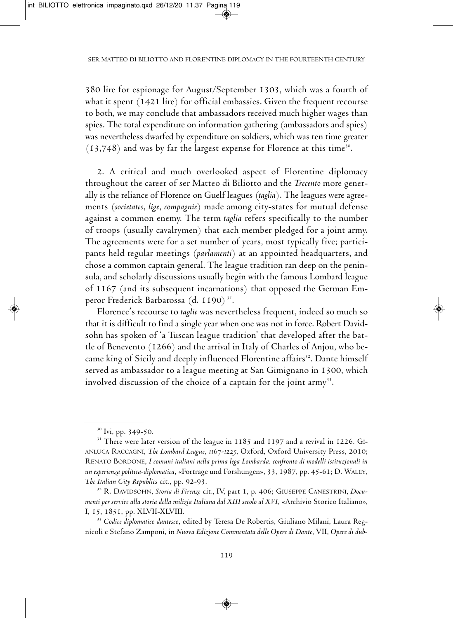380 lire for espionage for August/September 1303, which was a fourth of what it spent (1421 lire) for official embassies. Given the frequent recourse to both, we may conclude that ambassadors received much higher wages than spies. The total expenditure on information gathering (ambassadors and spies) was nevertheless dwarfed by expenditure on soldiers, which was ten time greater  $(13,748)$  and was by far the largest expense for Florence at this time<sup>30</sup>.

2. A critical and much overlooked aspect of Florentine diplomacy throughout the career of ser matteo di Biliotto and the *Trecento* more generally is the reliance of Florence on Guelf leagues (taglia). The leagues were agreements (*societates*, *lige*, *compagnie*) made among city-states for mutual defense against a common enemy. The term *taglia* refers specifically to the number of troops (usually cavalrymen) that each member pledged for a joint army. The agreements were for a set number of years, most typically five; participants held regular meetings (*parlamenti*) at an appointed headquarters, and chose a common captain general. The league tradition ran deep on the peninsula, and scholarly discussions usually begin with the famous lombard league of 1167 (and its subsequent incarnations) that opposed the German Emperor Frederick Barbarossa (d. 1190) <sup>31</sup>.

florence's recourse to *taglie* was nevertheless frequent, indeed so much so that it is difficult to find a single year when one was not in force. Robert Davidsohn has spoken of 'a Tuscan league tradition' that developed after the battle of Benevento (1266) and the arrival in Italy of Charles of Anjou, who became king of Sicily and deeply influenced Florentine affairs<sup>32</sup>. Dante himself served as ambassador to a league meeting at San Gimignano in 1300, which involved discussion of the choice of a captain for the joint  $army$ <sup>33</sup>.

<sup>&</sup>lt;sup>30</sup> Ivi, pp. 349-50.

<sup>&</sup>lt;sup>31</sup> There were later version of the league in 1185 and 1197 and a revival in 1226. GIanluca raccaGni, *The Lombard League*, *1167-1225*, oxford, oxford university Press, 2010; renato Bordone, *I comuni italiani nella prima lega Lombarda: confronto di modelli istituzionali in un esperienza politica-diplomatica*, «Fortrage und Forshungen», 33, 1987, pp. 45-61; D. WALEY, *The Italian City Republics* cit., pp. 92-93.

<sup>&</sup>lt;sup>32</sup> R. DAVIDSOHN, *Storia di Firenze* cit., IV, part 1, p. 406; GIUSEPPE CANESTRINI, *Documenti per servire alla storia della milizia Italiana dal XIII secolo al XVI*, «archivio storico italiano», i, 15, 1851, pp. XlVii-XlViii.

<sup>&</sup>lt;sup>33</sup> Codice diplomatico dantesco, edited by Teresa De Robertis, Giuliano Milani, Laura Regnicoli e stefano Zamponi, in *Nuova Edizione Commentata delle Opere di Dante*, Vii, *Opere di dub-*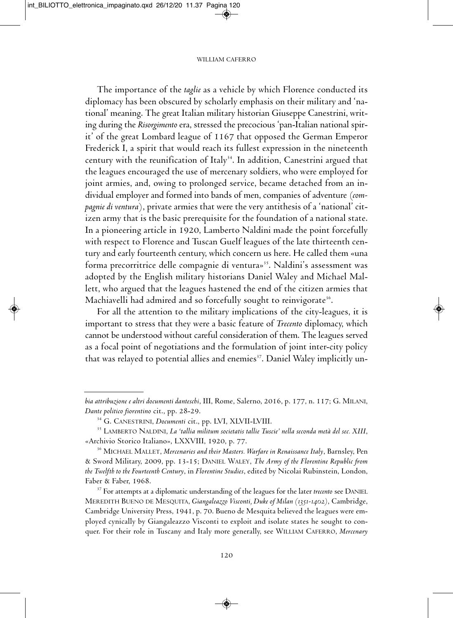The importance of the *taglie* as a vehicle by which Florence conducted its diplomacy has been obscured by scholarly emphasis on their military and 'national' meaning. The great Italian military historian Giuseppe Canestrini, writing during the *Risorgimento* era, stressed the precocious 'pan-Italian national spirit' of the great Lombard league of 1167 that opposed the German Emperor Frederick I, a spirit that would reach its fullest expression in the nineteenth century with the reunification of Italy $^{34}$ . In addition, Canestrini argued that the leagues encouraged the use of mercenary soldiers, who were employed for joint armies, and, owing to prolonged service, became detached from an individual employer and formed into bands of men, companies of adventure (com*pagnie di ventura*), private armies that were the very antithesis of a 'national' citizen army that is the basic prerequisite for the foundation of a national state. In a pioneering article in 1920, Lamberto Naldini made the point forcefully with respect to Florence and Tuscan Guelf leagues of the late thirteenth century and early fourteenth century, which concern us here. He called them «una forma precorritrice delle compagnie di ventura»<sup>35</sup>. Naldini's assessment was adopted by the English military historians Daniel Waley and Michael Mallett, who argued that the leagues hastened the end of the citizen armies that Machiavelli had admired and so forcefully sought to reinvigorate $^{\scriptscriptstyle 36}$ .

for all the attention to the military implications of the city-leagues, it is important to stress that they were a basic feature of *Trecento* diplomacy, which cannot be understood without careful consideration of them. The leagues served as a focal point of negotiations and the formulation of joint inter-city policy that was relayed to potential allies and enemies<sup>37</sup>. Daniel Waley implicitly un-

*bia attribuzione e altri documenti danteschi*, iii, rome, salerno, 2016, p. 177, n. 117; G. milani, *Dante politico fiorentino* cit., pp. 28-29.

<sup>&</sup>lt;sup>34</sup> G. CANESTRINI, *Documenti* cit., pp. LVI, XLVII-LVIII.

<sup>35</sup> lamBerto naldini, *La 'tallia militum societatis tallie Tuscie' nella seconda metà del sec. XIII*, «Archivio Storico Italiano», LXXVIII, 1920, p. 77.

<sup>36</sup> micHael mallet, *Mercenaries and their Masters. Warfare in Renaissance Italy*, Barnsley, Pen & sword military, 2009, pp. 13-15; daniel Waley, *The Army of the Florentine Republic from the Twelfth to the Fourteenth Century*, in *Florentine Studies*, edited by Nicolai Rubinstein, London, faber & faber, 1968.

<sup>&</sup>lt;sup>37</sup> For attempts at a diplomatic understanding of the leagues for the later *trecento* see DANIEL mereditH Bueno de mesQuita, *Giangaleazzo Visconti, Duke of Milan (1351-1402)*, cambridge, Cambridge University Press, 1941, p. 70. Bueno de Mesquita believed the leagues were employed cynically by Giangaleazzo Visconti to exploit and isolate states he sought to conquer. For their role in Tuscany and Italy more generally, see WILLIAM CAFERRO, Mercenary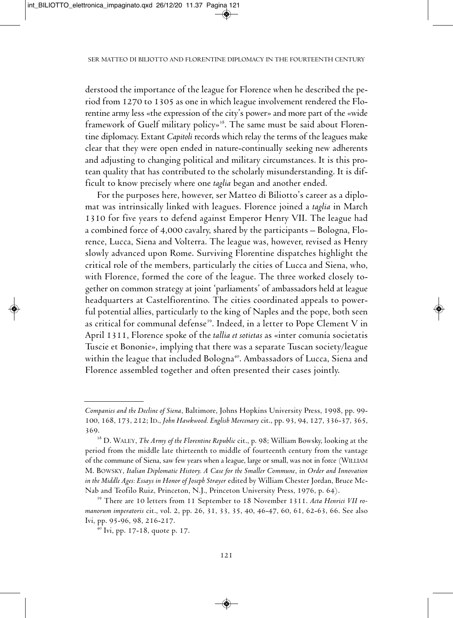derstood the importance of the league for florence when he described the period from 1270 to 1305 as one in which league involvement rendered the florentine army less «the expression of the city's power» and more part of the «wide framework of Guelf military policy»<sup>38</sup>. The same must be said about Florentine diplomacy. Extant *Capitoli* records which relay the terms of the leagues make clear that they were open ended in nature-continually seeking new adherents and adjusting to changing political and military circumstances. it is this protean quality that has contributed to the scholarly misunderstanding. It is difficult to know precisely where one *taglia* began and another ended.

for the purposes here, however, ser matteo di Biliotto's career as a diplomat was intrinsically linked with leagues. florence joined a *taglia* in march 1310 for five years to defend against Emperor Henry VII. The league had a combined force of 4,000 cavalry, shared by the participants – Bologna, florence, Lucca, Siena and Volterra. The league was, however, revised as Henry slowly advanced upon Rome. Surviving Florentine dispatches highlight the critical role of the members, particularly the cities of lucca and siena, who, with Florence, formed the core of the league. The three worked closely together on common strategy at joint 'parliaments' of ambassadors held at league headquarters at Castelfiorentino. The cities coordinated appeals to powerful potential allies, particularly to the king of Naples and the pope, both seen as critical for communal defense $^{\scriptscriptstyle 39}$ . Indeed, in a letter to Pope Clement V in april 1311, florence spoke of the *tallia et sotietas* as «inter comunia societatis Tuscie et Bononie», implying that there was a separate Tuscan society/league within the league that included Bologna 40 . ambassadors of lucca, siena and florence assembled together and often presented their cases jointly.

*Companies and the Decline of Siena*, Baltimore, Johns Hopkins university Press, 1998, pp. 99- 100, 168, 173, 212; id., *John Hawkwood. English Mercenary* cit., pp. 93, 94, 127, 336-37, 365, 369.

<sup>38</sup> d. Waley, *The Army of the Florentine Republic* cit., p. 98; William Bowsky, looking at the period from the middle late thirteenth to middle of fourteenth century from the vantage of the commune of Siena, saw few years when a league, large or small, was not in force (WILLIAM m. BoWsky, *Italian Diplomatic History. A Case for the Smaller Commune*, in *Order and Innovation in the Middle Ages: Essays in Honor of Joseph Strayer* edited by William chester Jordan, Bruce mc-Nab and Teofilo Ruiz, Princeton, N.J., Princeton University Press, 1976, p. 64).

<sup>&</sup>lt;sup>39</sup> There are 10 letters from 11 September to 18 November 1311. Acta Henrici VII ro*manorum imperatoris* cit., vol. 2, pp. 26, 31, 33, 35, 40, 46-47, 60, 61, 62-63, 66. see also ivi, pp. 95-96, 98, 216-217.

 $40$  Ivi, pp. 17-18, quote p. 17.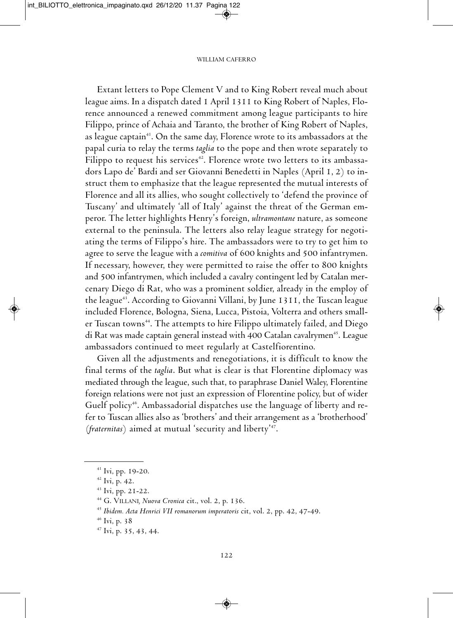Extant letters to Pope Clement V and to King Robert reveal much about league aims. In a dispatch dated 1 April 1311 to King Robert of Naples, Florence announced a renewed commitment among league participants to hire Filippo, prince of Achaia and Taranto, the brother of King Robert of Naples, as league captain<sup>41</sup>. On the same day, Florence wrote to its ambassadors at the papal curia to relay the terms *taglia* to the pope and then wrote separately to filippo to request his services 42 . florence wrote two letters to its ambassadors Lapo de' Bardi and ser Giovanni Benedetti in Naples (April  $I, 2$ ) to instruct them to emphasize that the league represented the mutual interests of florence and all its allies, who sought collectively to 'defend the province of Tuscany' and ultimately 'all of Italy' against the threat of the German emperor. the letter highlights Henry's foreign, *ultramontane* nature, as someone external to the peninsula. The letters also relay league strategy for negotiating the terms of Filippo's hire. The ambassadors were to try to get him to agree to serve the league with a *comitiva* of 600 knights and 500 infantrymen. If necessary, however, they were permitted to raise the offer to 800 knights and 500 infantrymen, which included a cavalry contingent led by catalan mercenary Diego di Rat, who was a prominent soldier, already in the employ of the league<sup>43</sup>. According to Giovanni Villani, by June 1311, the Tuscan league included florence, Bologna, siena, lucca, Pistoia, Volterra and others smaller Tuscan towns<sup>44</sup>. The attempts to hire Filippo ultimately failed, and Diego di Rat was made captain general instead with 400 Catalan cavalrymen<sup>45</sup>. League ambassadors continued to meet regularly at castelfiorentino.

Given all the adjustments and renegotiations, it is difficult to know the final terms of the *taglia*. But what is clear is that florentine diplomacy was mediated through the league, such that, to paraphrase Daniel Waley, Florentine foreign relations were not just an expression of florentine policy, but of wider Guelf policy<sup>46</sup>. Ambassadorial dispatches use the language of liberty and refer to tuscan allies also as 'brothers' and their arrangement as a 'brotherhood' (*fraternitas*) aimed at mutual 'security and liberty' 47 .

<sup>&</sup>lt;sup>41</sup> Ivi, pp. 19-20.

<sup>&</sup>lt;sup>42</sup> Ivi, p. 42.

 $43$  Ivi, pp. 21-22.

<sup>44</sup> G. Villani*, Nuova Cronica* cit., vol. 2, p. 136.

<sup>45</sup> *Ibidem. Acta Henrici VII romanorum imperatoris* cit, vol. 2, pp. 42, 47-49.

 $46$  Ivi, p. 38

<sup>&</sup>lt;sup>47</sup> Ivi, p. 35, 43, 44.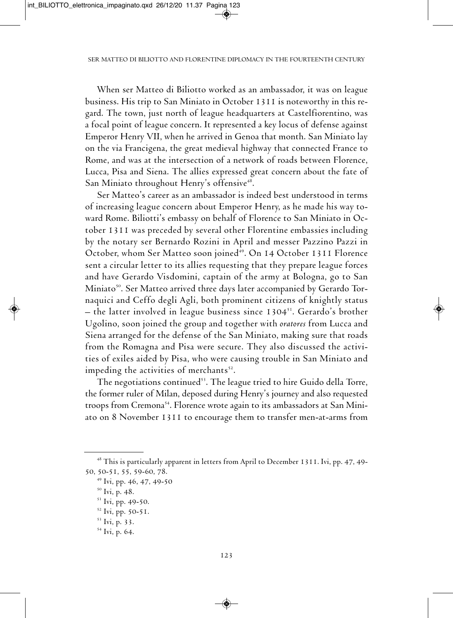When ser matteo di Biliotto worked as an ambassador, it was on league business. His trip to San Miniato in October 1311 is noteworthy in this regard. The town, just north of league headquarters at Castelfiorentino, was a focal point of league concern. it represented a key locus of defense against Emperor Henry VII, when he arrived in Genoa that month. San Miniato lay on the via francigena, the great medieval highway that connected france to Rome, and was at the intersection of a network of roads between Florence, Lucca, Pisa and Siena. The allies expressed great concern about the fate of San Miniato throughout Henry's offensive<sup>48</sup>.

ser matteo's career as an ambassador is indeed best understood in terms of increasing league concern about Emperor Henry, as he made his way toward Rome. Biliotti's embassy on behalf of Florence to San Miniato in October 1311 was preceded by several other florentine embassies including by the notary ser Bernardo Rozini in April and messer Pazzino Pazzi in October, whom Ser Matteo soon joined<sup>49</sup>. On 14 October 1311 Florence sent a circular letter to its allies requesting that they prepare league forces and have Gerardo Visdomini, captain of the army at Bologna, go to San Miniato $^{50}$ . Ser Matteo arrived three days later accompanied by Gerardo Tornaquici and Ceffo degli Agli, both prominent citizens of knightly status – the latter involved in league business since 1304 $^{\rm 51}$ . Gerardo's brother ugolino, soon joined the group and together with *oratores* from lucca and siena arranged for the defense of the san miniato, making sure that roads from the Romagna and Pisa were secure. They also discussed the activities of exiles aided by Pisa, who were causing trouble in San Miniato and impeding the activities of merchants $^{52}$ .

The negotiations continued<sup>53</sup>. The league tried to hire Guido della Torre, the former ruler of milan, deposed during Henry's journey and also requested troops from Cremona<sup>54</sup>. Florence wrote again to its ambassadors at San Miniato on 8 November 1311 to encourage them to transfer men-at-arms from

<sup>&</sup>lt;sup>48</sup> This is particularly apparent in letters from April to December 1311. Ivi, pp. 47, 49-50, 50-51, 55, 59-60, 78.

<sup>&</sup>lt;sup>49</sup> Ivi, pp. 46, 47, 49-50

<sup>&</sup>lt;sup>50</sup> Ivi, p. 48.

<sup>&</sup>lt;sup>51</sup> Ivi, pp. 49-50.

 $52$  Ivi, pp. 50-51.

<sup>&</sup>lt;sup>53</sup> Ivi, p. 33.

<sup>&</sup>lt;sup>54</sup> Ivi, p. 64.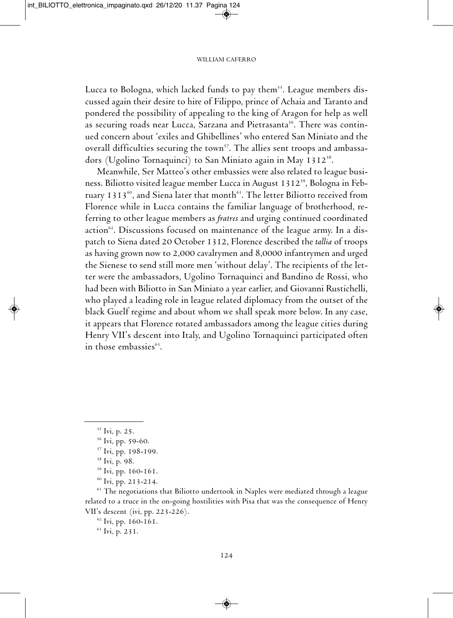Lucca to Bologna, which lacked funds to pay them<sup>55</sup>. League members discussed again their desire to hire of Filippo, prince of Achaia and Taranto and pondered the possibility of appealing to the king of Aragon for help as well as securing roads near Lucca, Sarzana and Pietrasanta<sup>56</sup>. There was continued concern about 'exiles and Ghibellines' who entered san miniato and the overall difficulties securing the town<sup>57</sup>. The allies sent troops and ambassadors (Ugolino Tornaquinci) to San Miniato again in May 1312 $^{\rm 58}.$ 

Meanwhile, Ser Matteo's other embassies were also related to league business. Biliotto visited league member Lucca in August 1312'<sup>9</sup>, Bologna in February 1313 $^{\rm 60}$ , and Siena later that month $^{\rm 61}$ . The letter Biliotto received from florence while in lucca contains the familiar language of brotherhood, referring to other league members as *fratres* and urging continued coordinated action". Discussions focused on maintenance of the league army. In a dispatch to Siena dated 20 October 1312, Florence described the *tallia* of troops as having grown now to 2,000 cavalrymen and 8,0000 infantrymen and urged the Sienese to send still more men 'without delay'. The recipients of the letter were the ambassadors, Ugolino Tornaquinci and Bandino de Rossi, who had been with Biliotto in San Miniato a year earlier, and Giovanni Rustichelli, who played a leading role in league related diplomacy from the outset of the black Guelf regime and about whom we shall speak more below. In any case, it appears that florence rotated ambassadors among the league cities during Henry VII's descent into Italy, and Ugolino Tornaquinci participated often in those embassies 63 .

<sup>&</sup>lt;sup>55</sup> Ivi, p. 25.

<sup>&</sup>lt;sup>56</sup> Ivi, pp. 59-60.

<sup>&</sup>lt;sup>57</sup> Ivi, pp. 198-199.

 $58$  Ivi, p. 98.

<sup>&</sup>lt;sup>59</sup> Ivi, pp. 160-161.

 $60$  Ivi, pp. 213-214.

 $61$  The negotiations that Biliotto undertook in Naples were mediated through a league related to a truce in the on-going hostilities with Pisa that was the consequence of Henry VII's descent (ivi, pp. 223-226).

 $62$  Ivi, pp. 160-161.

<sup>&</sup>lt;sup>63</sup> Ivi, p. 231.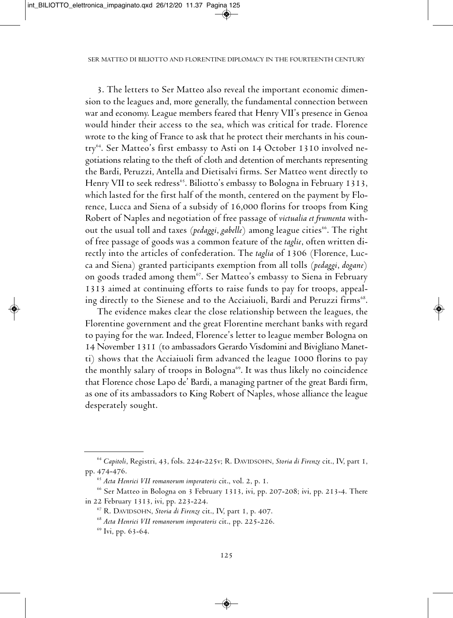3. The letters to Ser Matteo also reveal the important economic dimension to the leagues and, more generally, the fundamental connection between war and economy. League members feared that Henry VII's presence in Genoa would hinder their access to the sea, which was critical for trade. florence wrote to the king of france to ask that he protect their merchants in his country<sup>64</sup>. Ser Matteo's first embassy to Asti on 14 October 1310 involved negotiations relating to the theft of cloth and detention of merchants representing the Bardi, Peruzzi, Antella and Dietisalvi firms. Ser Matteo went directly to Henry Vii to seek redress 65 . Biliotto's embassy to Bologna in february 1313, which lasted for the first half of the month, centered on the payment by florence, lucca and siena of a subsidy of 16,000 florins for troops from king Robert of Naples and negotiation of free passage of victualia et frumenta without the usual toll and taxes *(pedaggi, gabelle*) among league cities". The right of free passage of goods was a common feature of the *taglie*, often written directly into the articles of confederation. The *taglia* of 1306 (Florence, Lucca and siena) granted participants exemption from all tolls (*pedaggi*, *dogane*) on goods traded among them<sup>67</sup>. Ser Matteo's embassy to Siena in February 1313 aimed at continuing efforts to raise funds to pay for troops, appealing directly to the Sienese and to the Acciaiuoli, Bardi and Peruzzi firms $^{\rm 68}.$ 

the evidence makes clear the close relationship between the leagues, the florentine government and the great florentine merchant banks with regard to paying for the war. Indeed, Florence's letter to league member Bologna on 14 November 1311 (to ambassadors Gerardo Visdomini and Bivigliano Manetti) shows that the Acciaiuoli firm advanced the league 1000 florins to pay the monthly salary of troops in Bologna 69 . it was thus likely no coincidence that florence chose lapo de' Bardi, a managing partner of the great Bardi firm, as one of its ambassadors to King Robert of Naples, whose alliance the league desperately sought.

<sup>&</sup>lt;sup>64</sup> Capitoli, Registri, 43, fols. 224r-225v; R. DAVIDSOHN, Storia di Firenze cit., IV, part 1, pp. 474-476.

<sup>65</sup> *Acta Henrici VII romanorum imperatoris* cit., vol. 2, p. 1.

<sup>&</sup>lt;sup>66</sup> Ser Matteo in Bologna on 3 February 1313, ivi, pp. 207-208; ivi, pp. 213-4. There in 22 february 1313, ivi, pp. 223-224.

<sup>&</sup>lt;sup>67</sup> R. DAVIDSOHN, *Storia di Firenze* cit., IV, part 1, p. 407.

<sup>68</sup> *Acta Henrici VII romanorum imperatoris* cit., pp. 225-226.

<sup>&</sup>lt;sup>69</sup> Ivi, pp. 63-64.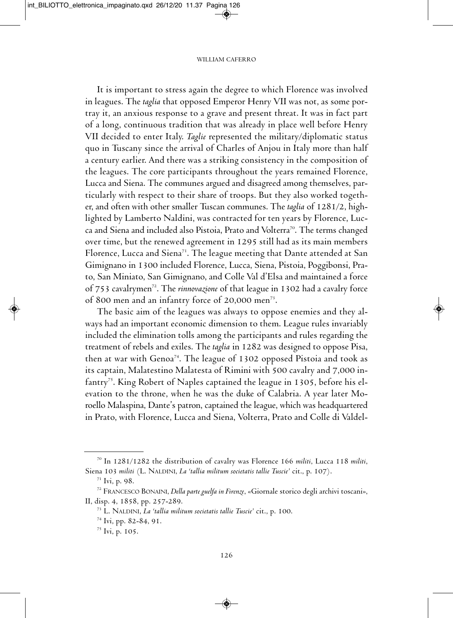It is important to stress again the degree to which Florence was involved in leagues. The *taglia* that opposed Emperor Henry VII was not, as some portray it, an anxious response to a grave and present threat. It was in fact part of a long, continuous tradition that was already in place well before Henry Vii decided to enter italy. *Taglie* represented the military/diplomatic status quo in Tuscany since the arrival of Charles of Anjou in Italy more than half a century earlier. And there was a striking consistency in the composition of the leagues. The core participants throughout the years remained Florence, Lucca and Siena. The communes argued and disagreed among themselves, particularly with respect to their share of troops. But they also worked together, and often with other smaller Tuscan communes. The *taglia* of 1281/2, highlighted by Lamberto Naldini, was contracted for ten years by Florence, Lucca and Siena and included also Pistoia, Prato and Volterra<sup>70</sup>. The terms changed over time, but the renewed agreement in 1295 still had as its main members Florence, Lucca and Siena $^{\mathrm{\tau_1}}$ . The league meeting that Dante attended at San Gimignano in 1300 included florence, lucca, siena, Pistoia, Poggibonsi, Prato, san miniato, san Gimignano, and colle Val d'elsa and maintained a force of 753 cavalrymen<sup>72</sup>. The *rinnovazione* of that league in 1302 had a cavalry force of 800 men and an infantry force of 20,000 men<sup>73</sup>.

The basic aim of the leagues was always to oppose enemies and they always had an important economic dimension to them. league rules invariably included the elimination tolls among the participants and rules regarding the treatment of rebels and exiles. The *taglia* in 1282 was designed to oppose Pisa, then at war with Genoa<sup>74</sup>. The league of 1302 opposed Pistoia and took as its captain, Malatestino Malatesta of Rimini with 500 cavalry and 7,000 infantry<sup>75</sup>. King Robert of Naples captained the league in 1305, before his elevation to the throne, when he was the duke of Calabria. A year later Moroello Malaspina, Dante's patron, captained the league, which was headquartered in Prato, with florence, lucca and siena, Volterra, Prato and colle di Valdel-

<sup>70</sup> in 1281/1282 the distribution of cavalry was florence 166 *militi*, lucca 118 *militi*, Siena 103 militi (L. NALDINI, *La 'tallia militum societatis tallie Tuscie'* cit., p. 107).

 $71$  Ivi, p. 98.

<sup>72</sup> francesco Bonaini, *Dellaparte guelfain Firenze*, «Giornale storico degli archivi toscani», II, disp. 4, 1858, pp. 257-289.

<sup>73</sup> l. naldini, *La 'tallia militum societatis tallie Tuscie'* cit., p. 100.

<sup>&</sup>lt;sup>74</sup> Ivi, pp. 82-84, 91.

<sup>&</sup>lt;sup>75</sup> Ivi, p. 105.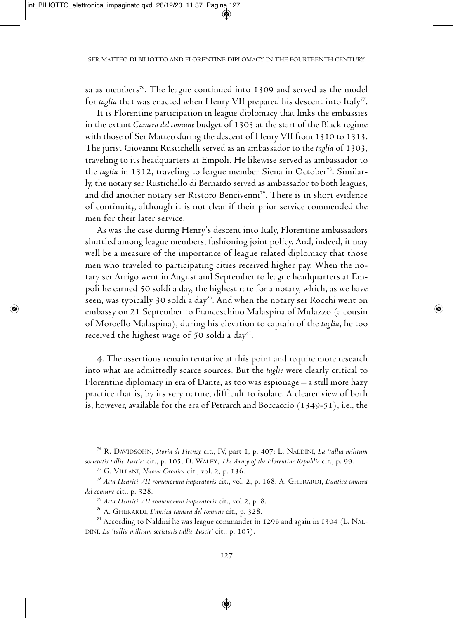sa as members $^{76}$ . The league continued into 1309 and served as the model for *taglia* that was enacted when Henry VII prepared his descent into Italy $^{7}$ .

It is Florentine participation in league diplomacy that links the embassies in the extant *Camera del comune* budget of 1303 at the start of the Black regime with those of Ser Matteo during the descent of Henry VII from 1310 to 1313. The jurist Giovanni Rustichelli served as an ambassador to the *taglia* of 1303, traveling to its headquarters at Empoli. He likewise served as ambassador to the *taglia* in 1312, traveling to league member Siena in October<sup>78</sup>. Similarly, the notary ser Rustichello di Bernardo served as ambassador to both leagues, and did another notary ser Ristoro Bencivenni $^{79}$ . There is in short evidence of continuity, although it is not clear if their prior service commended the men for their later service.

As was the case during Henry's descent into Italy, Florentine ambassadors shuttled among league members, fashioning joint policy. And, indeed, it may well be a measure of the importance of league related diplomacy that those men who traveled to participating cities received higher pay. When the notary ser Arrigo went in August and September to league headquarters at Empoli he earned 50 soldi a day, the highest rate for a notary, which, as we have seen, was typically 30 soldi a day<sup>80</sup>. And when the notary ser Rocchi went on embassy on 21 September to Franceschino Malaspina of Mulazzo (a cousin of moroello malaspina), during his elevation to captain of the *taglia*, he too received the highest wage of 50 soldi a day $^{\mathrm{81}}\!.$ 

4. The assertions remain tentative at this point and require more research into what are admittedly scarce sources. But the *taglie* were clearly critical to Florentine diplomacy in era of Dante, as too was espionage – a still more hazy practice that is, by its very nature, difficult to isolate. A clearer view of both is, however, available for the era of Petrarch and Boccaccio (1349-51), i.e., the

<sup>&</sup>lt;sup>76</sup> R. DAVIDSOHN, *Storia di Firenze* cit., IV, part 1, p. 407; L. NALDINI, *La 'tallia militum societatis tallie Tuscie'* cit., p. 105; d. Waley, *The Army of the Florentine Republic* cit., p. 99.

<sup>77</sup> G. Villani, *Nuova Cronica* cit., vol. 2, p. 136.

<sup>78</sup> *Acta Henrici VII romanorum imperatoris* cit., vol. 2, p. 168; a. GHerardi, *L'antica camera del comune* cit., p. 328.

<sup>79</sup> *Acta Henrici VII romanorum imperatoris* cit., vol 2, p. 8.

<sup>80</sup> a. GHerardi, *L'antica camera del comune* cit., p. 328.

 $81$  According to Naldini he was league commander in 1296 and again in 1304 (L. NALdini, *La 'tallia militum societatis tallie Tuscie'* cit., p. 105).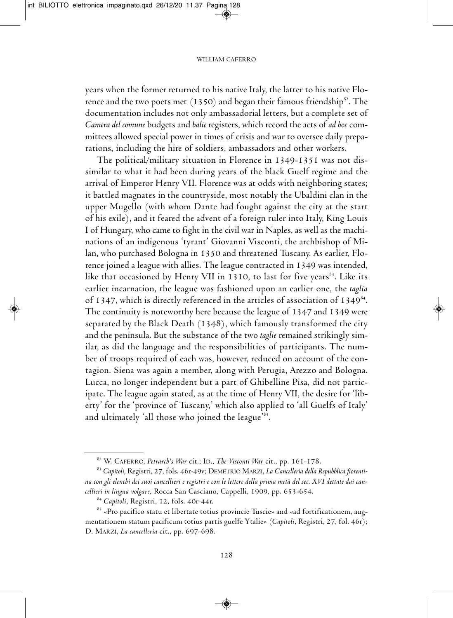years when the former returned to his native Italy, the latter to his native Florence and the two poets met  $(1350)$  and began their famous friendship $^{\rm{82}}.$  The documentation includes not only ambassadorial letters, but a complete set of *Camera del comune* budgets and *balie* registers, which record the acts of *ad hoc* committees allowed special power in times of crisis and war to oversee daily preparations, including the hire of soldiers, ambassadors and other workers.

The political/military situation in Florence in 1349-1351 was not dissimilar to what it had been during years of the black Guelf regime and the arrival of Emperor Henry VII. Florence was at odds with neighboring states; it battled magnates in the countryside, most notably the Ubaldini clan in the upper Mugello (with whom Dante had fought against the city at the start of his exile), and it feared the advent of a foreign ruler into Italy, King Louis I of Hungary, who came to fight in the civil war in Naples, as well as the machinations of an indigenous 'tyrant' Giovanni Visconti, the archbishop of milan, who purchased Bologna in 1350 and threatened Tuscany. As earlier, Florence joined a league with allies. The league contracted in 1349 was intended, like that occasioned by Henry VII in 1310, to last for five years $^{\rm 83}.$  Like its earlier incarnation, the league was fashioned upon an earlier one, the *taglia* of 1347, which is directly referenced in the articles of association of 1349<sup>84</sup>. The continuity is noteworthy here because the league of 1347 and 1349 were separated by the Black Death (1348), which famously transformed the city and the peninsula. But the substance of the two *taglie* remained strikingly similar, as did the language and the responsibilities of participants. The number of troops required of each was, however, reduced on account of the contagion. Siena was again a member, along with Perugia, Arezzo and Bologna. lucca, no longer independent but a part of Ghibelline Pisa, did not participate. The league again stated, as at the time of Henry VII, the desire for 'liberty' for the 'province of Tuscany,' which also applied to 'all Guelfs of Italy' and ultimately 'all those who joined the league' 85 .

<sup>82</sup> W. CAFERRO, Petrarch's War cit.; ID., The Visconti War cit., pp. 161-178.

<sup>&</sup>lt;sup>83</sup> Capitoli, Registri, 27, fols. 46r-49v; DEMETRIO MARZI, *La Cancelleria della Repubblica fiorenti*na con gli elenchi dei suoi cancellieri e registri e con le lettere della prima metà del sec. XVI dettate dai can*cellieri in lingua volgare*, Rocca San Casciano, Cappelli, 1909, pp. 653-654.

<sup>&</sup>lt;sup>84</sup> Capitoli, Registri, 12, fols. 40r-44r.

 $85$  «Pro pacifico statu et libertate totius provincie Tuscie» and «ad fortificationem, augmentationem statum pacificum totius partis guelfe Ytalie» (Capitoli, Registri, 27, fol. 46r); D. MARZI, *La cancelleria* cit., pp. 697-698.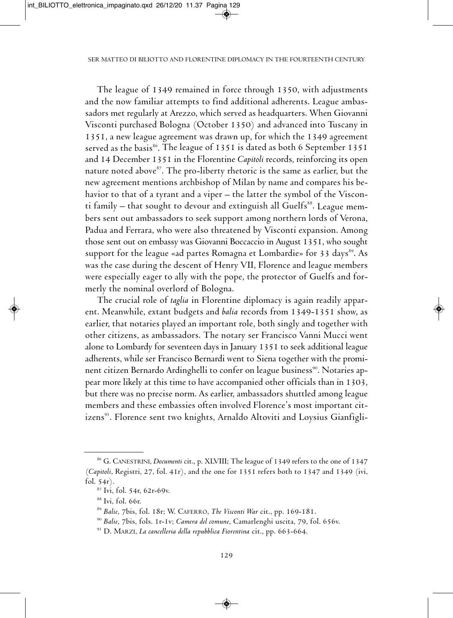The league of 1349 remained in force through 1350, with adjustments and the now familiar attempts to find additional adherents. league ambassadors met regularly at Arezzo, which served as headquarters. When Giovanni Visconti purchased Bologna (October 1350) and advanced into Tuscany in 1351, a new league agreement was drawn up, for which the 1349 agreement served as the basis<sup>ss</sup>. The league of 1351 is dated as both 6 September 1351 and 14 December 1351 in the Florentine *Capitoli* records, reinforcing its open nature noted above<sup>87</sup>. The pro-liberty rhetoric is the same as earlier, but the new agreement mentions archbishop of milan by name and compares his behavior to that of a tyrant and a viper – the latter the symbol of the Visconti family – that sought to devour and extinguish all Guelfs $^{\rm 88}.$  League members sent out ambassadors to seek support among northern lords of Verona, Padua and Ferrara, who were also threatened by Visconti expansion. Among those sent out on embassy was Giovanni Boccaccio in August 1351, who sought support for the league «ad partes Romagna et Lombardie» for 33 days<sup>89</sup>. As was the case during the descent of Henry VII, Florence and league members were especially eager to ally with the pope, the protector of Guelfs and formerly the nominal overlord of Bologna.

The crucial role of *taglia* in Florentine diplomacy is again readily apparent. Meanwhile, extant budgets and *balia* records from 1349-1351 show, as earlier, that notaries played an important role, both singly and together with other citizens, as ambassadors. The notary ser Francisco Vanni Mucci went alone to Lombardy for seventeen days in January 1351 to seek additional league adherents, while ser Francisco Bernardi went to Siena together with the prominent citizen Bernardo Ardinghelli to confer on league business<sup>90</sup>. Notaries appear more likely at this time to have accompanied other officials than in 1303, but there was no precise norm. As earlier, ambassadors shuttled among league members and these embassies often involved florence's most important citizens<sup>91</sup>. Florence sent two knights, Arnaldo Altoviti and Loysius Gianfigli-

<sup>&</sup>lt;sup>86</sup> G. CANESTRINI, *Documenti* cit., p. XLVIII; The league of 1349 refers to the one of 1347 (*Capitoli*, Registri, 27, fol. 41r), and the one for 1351 refers both to 1347 and 1349 (ivi, fol. 54r).

<sup>87</sup> ivi, fol. 54r, 62r-69v.

 $88$  Ivi, fol. 66r.

<sup>89</sup> *Balie*, 7bis, fol. 18r; W. caferro, *The Visconti War* cit., pp. 169-181.

<sup>90</sup> *Balie*, 7bis, fols. 1r-1v; *Camera del comune*, camarlenghi uscita, 79, fol. 656v.

<sup>&</sup>lt;sup>91</sup> D. MARZI, *La cancelleria della repubblica Fiorentina* cit., pp. 663-664.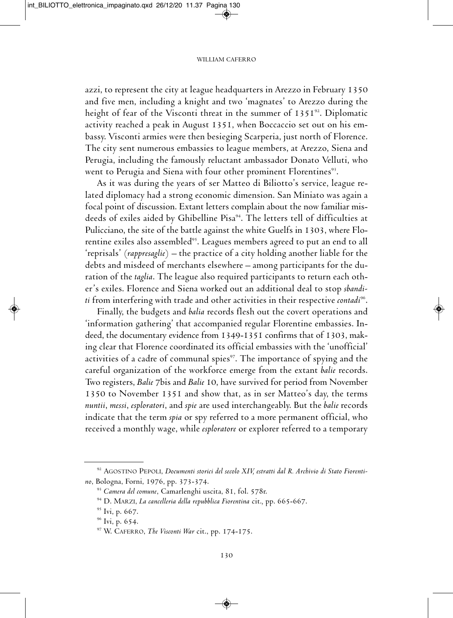azzi, to represent the city at league headquarters in Arezzo in February 1350 and five men, including a knight and two 'magnates' to Arezzo during the height of fear of the Visconti threat in the summer of 1351 $^{\circ}$ 2. Diplomatic activity reached a peak in August 1351, when Boccaccio set out on his embassy. Visconti armies were then besieging Scarperia, just north of Florence. The city sent numerous embassies to league members, at Arezzo, Siena and Perugia, including the famously reluctant ambassador Donato Velluti, who went to Perugia and Siena with four other prominent Florentines<sup>93</sup>.

As it was during the years of ser Matteo di Biliotto's service, league related diplomacy had a strong economic dimension. San Miniato was again a focal point of discussion. Extant letters complain about the now familiar misdeeds of exiles aided by Ghibelline Pisa 94 . the letters tell of difficulties at Pulicciano, the site of the battle against the white Guelfs in 1303, where florentine exiles also assembled<sup>95</sup>. Leagues members agreed to put an end to all 'reprisals' (*rappresaglie*) – the practice of a city holding another liable for the debts and misdeed of merchants elsewhere – among participants for the duration of the *taglia*. The league also required participants to return each other's exiles. florence and siena worked out an additional deal to stop *sbanditi* from interfering with trade and other activities in their respective *contadi* 96 .

finally, the budgets and *balia* records flesh out the covert operations and 'information gathering' that accompanied regular Florentine embassies. Indeed, the documentary evidence from 1349-1351 confirms that of 1303, making clear that florence coordinated its official embassies with the 'unofficial' activities of a cadre of communal spies $\mathrm{^{97}}.$  The importance of spying and the careful organization of the workforce emerge from the extant *balie* records. Two registers, *Balie* 7bis and *Balie* 10, have survived for period from November 1350 to November 1351 and show that, as in ser Matteo's day, the terms *nuntii*, *messi*, *esploratori*, and *spie* are used interchangeably. But the *balie* records indicate that the term *spia* or spy referred to a more permanent official, who received a monthly wage, while *esploratore* or explorer referred to a temporary

<sup>92</sup> aGostino PePoli, *Documenti storici del secolo XIV, estratti dal R. Archivio di Stato Fiorentino*, Bologna, forni, 1976, pp. 373-374.

<sup>93</sup> *Camera del comune*, camarlenghi uscita, 81, fol. 578r.

<sup>94</sup> d. marZi, *La cancelleria della repubblica Fiorentina* cit.*,* pp. 665-667.

<sup>&</sup>lt;sup>95</sup> Ivi, p. 667.

 $96$  Ivi, p. 654.

<sup>97</sup> W. caferro, *The Visconti War* cit., pp. 174-175.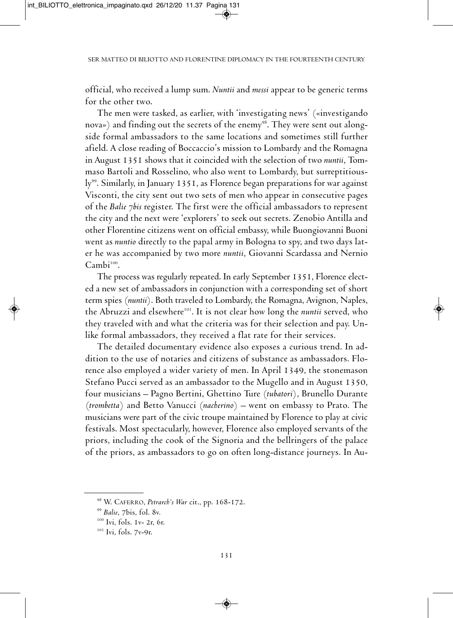official, who received a lump sum. *Nuntii* and *messi* appear to be generic terms for the other two.

the men were tasked, as earlier, with 'investigating news' («investigando nova») and finding out the secrets of the enemy $^{\rm 98}.$  They were sent out alongside formal ambassadors to the same locations and sometimes still further afield. A close reading of Boccaccio's mission to Lombardy and the Romagna in August 1351 shows that it coincided with the selection of two *nuntii*, Tommaso Bartoli and Rosselino, who also went to Lombardy, but surreptitiously<sup>99</sup>. Similarly, in January 1351, as Florence began preparations for war against Visconti, the city sent out two sets of men who appear in consecutive pages of the *Balie 7bis* register. The first were the official ambassadors to represent the city and the next were 'explorers' to seek out secrets. Zenobio Antilla and other florentine citizens went on official embassy, while Buongiovanni Buoni went as *nuntio* directly to the papal army in Bologna to spy, and two days later he was accompanied by two more *nuntii*, Giovanni Scardassa and Nernio Cambi<sup>100</sup>.

The process was regularly repeated. In early September 1351, Florence elected a new set of ambassadors in conjunction with a corresponding set of short term spies (nuntii). Both traveled to Lombardy, the Romagna, Avignon, Naples, the Abruzzi and elsewhere<sup>101</sup>. It is not clear how long the *nuntii* served, who they traveled with and what the criteria was for their selection and pay. Unlike formal ambassadors, they received a flat rate for their services.

The detailed documentary evidence also exposes a curious trend. In addition to the use of notaries and citizens of substance as ambassadors. florence also employed a wider variety of men. In April 1349, the stonemason Stefano Pucci served as an ambassador to the Mugello and in August 1350, four musicians – Pagno Bertini, Ghettino Ture *(tubatori)*, Brunello Durante (*trombetta*) and Betto Vanucci (*nacherino*) – went on embassy to Prato. The musicians were part of the civic troupe maintained by florence to play at civic festivals. most spectacularly, however, florence also employed servants of the priors, including the cook of the signoria and the bellringers of the palace of the priors, as ambassadors to go on often long-distance journeys. In Au-

<sup>98</sup> W. caferro, *Petrarch's War* cit., pp. 168-172.

<sup>99</sup> *Balie*, 7bis, fol. 8v.

<sup>&</sup>lt;sup>100</sup> Ivi, fols. 1v- 2r, 6r.

<sup>&</sup>lt;sup>101</sup> Ivi, fols. 7v-9r.